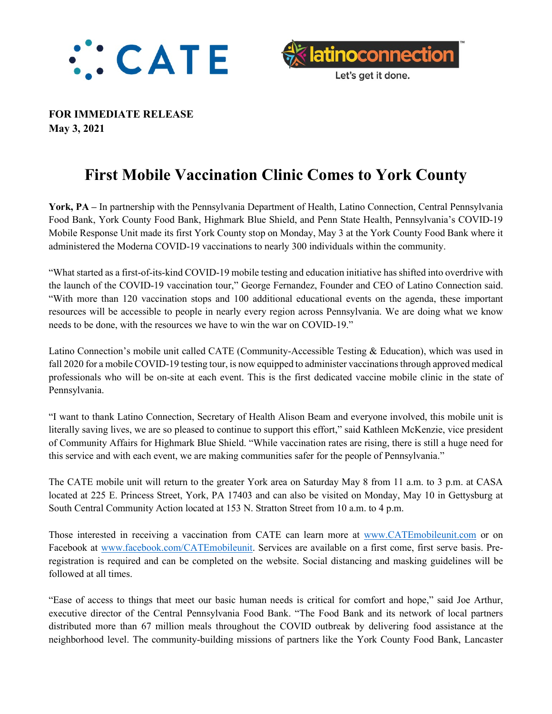



**FOR IMMEDIATE RELEASE May 3, 2021**

## **First Mobile Vaccination Clinic Comes to York County**

**York, PA –** In partnership with the Pennsylvania Department of Health, Latino Connection, Central Pennsylvania Food Bank, York County Food Bank, Highmark Blue Shield, and Penn State Health, Pennsylvania's COVID-19 Mobile Response Unit made its first York County stop on Monday, May 3 at the York County Food Bank where it administered the Moderna COVID-19 vaccinations to nearly 300 individuals within the community.

"What started as a first-of-its-kind COVID-19 mobile testing and education initiative has shifted into overdrive with the launch of the COVID-19 vaccination tour," George Fernandez, Founder and CEO of Latino Connection said. "With more than 120 vaccination stops and 100 additional educational events on the agenda, these important resources will be accessible to people in nearly every region across Pennsylvania. We are doing what we know needs to be done, with the resources we have to win the war on COVID-19."

Latino Connection's mobile unit called CATE (Community-Accessible Testing & Education), which was used in fall 2020 for a mobile COVID-19 testing tour, is now equipped to administer vaccinations through approved medical professionals who will be on-site at each event. This is the first dedicated vaccine mobile clinic in the state of Pennsylvania.

"I want to thank Latino Connection, Secretary of Health Alison Beam and everyone involved, this mobile unit is literally saving lives, we are so pleased to continue to support this effort," said Kathleen McKenzie, vice president of Community Affairs for Highmark Blue Shield. "While vaccination rates are rising, there is still a huge need for this service and with each event, we are making communities safer for the people of Pennsylvania."

The CATE mobile unit will return to the greater York area on Saturday May 8 from 11 a.m. to 3 p.m. at CASA located at 225 E. Princess Street, York, PA 17403 and can also be visited on Monday, May 10 in Gettysburg at South Central Community Action located at 153 N. Stratton Street from 10 a.m. to 4 p.m.

Those interested in receiving a vaccination from CATE can learn more at [www.CATEmobileunit.com](http://www.catemobileunit.com/) or on Facebook at [www.facebook.com/CATEmobileunit.](http://www.facebook.com/CATEmobileunit) Services are available on a first come, first serve basis. Preregistration is required and can be completed on the website. Social distancing and masking guidelines will be followed at all times.

"Ease of access to things that meet our basic human needs is critical for comfort and hope," said Joe Arthur, executive director of the Central Pennsylvania Food Bank. "The Food Bank and its network of local partners distributed more than 67 million meals throughout the COVID outbreak by delivering food assistance at the neighborhood level. The community-building missions of partners like the York County Food Bank, Lancaster